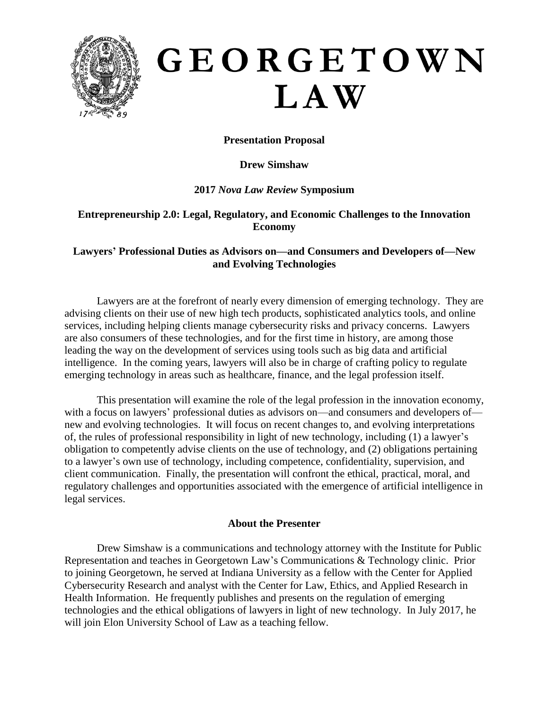

# GEORGETOWN LAW

# **Presentation Proposal**

## **Drew Simshaw**

## **2017** *Nova Law Review* **Symposium**

## **Entrepreneurship 2.0: Legal, Regulatory, and Economic Challenges to the Innovation Economy**

## **Lawyers' Professional Duties as Advisors on—and Consumers and Developers of—New and Evolving Technologies**

Lawyers are at the forefront of nearly every dimension of emerging technology. They are advising clients on their use of new high tech products, sophisticated analytics tools, and online services, including helping clients manage cybersecurity risks and privacy concerns. Lawyers are also consumers of these technologies, and for the first time in history, are among those leading the way on the development of services using tools such as big data and artificial intelligence. In the coming years, lawyers will also be in charge of crafting policy to regulate emerging technology in areas such as healthcare, finance, and the legal profession itself.

This presentation will examine the role of the legal profession in the innovation economy, with a focus on lawyers' professional duties as advisors on—and consumers and developers of new and evolving technologies. It will focus on recent changes to, and evolving interpretations of, the rules of professional responsibility in light of new technology, including (1) a lawyer's obligation to competently advise clients on the use of technology, and (2) obligations pertaining to a lawyer's own use of technology, including competence, confidentiality, supervision, and client communication. Finally, the presentation will confront the ethical, practical, moral, and regulatory challenges and opportunities associated with the emergence of artificial intelligence in legal services.

#### **About the Presenter**

Drew Simshaw is a communications and technology attorney with the Institute for Public Representation and teaches in Georgetown Law's Communications & Technology clinic. Prior to joining Georgetown, he served at Indiana University as a fellow with the Center for Applied Cybersecurity Research and analyst with the Center for Law, Ethics, and Applied Research in Health Information. He frequently publishes and presents on the regulation of emerging technologies and the ethical obligations of lawyers in light of new technology. In July 2017, he will join Elon University School of Law as a teaching fellow.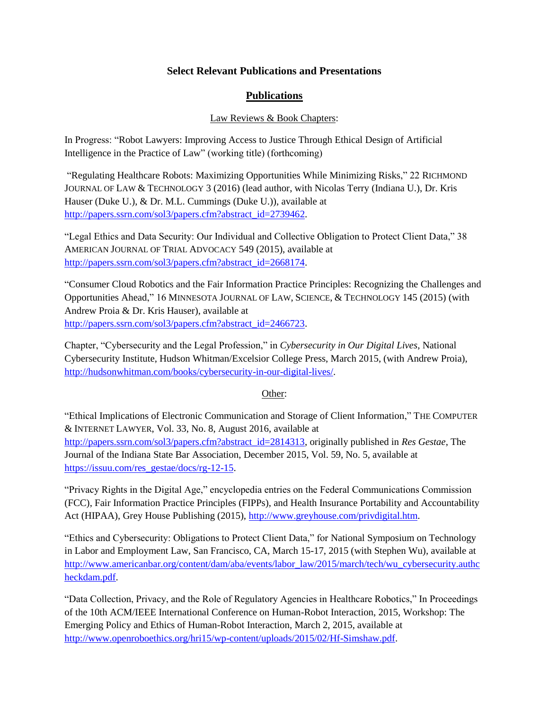## **Select Relevant Publications and Presentations**

# **Publications**

## Law Reviews & Book Chapters:

In Progress: "Robot Lawyers: Improving Access to Justice Through Ethical Design of Artificial Intelligence in the Practice of Law" (working title) (forthcoming)

"Regulating Healthcare Robots: Maximizing Opportunities While Minimizing Risks," 22 RICHMOND JOURNAL OF LAW & TECHNOLOGY 3 (2016) (lead author, with Nicolas Terry (Indiana U.), Dr. Kris Hauser (Duke U.), & Dr. M.L. Cummings (Duke U.)), available at [http://papers.ssrn.com/sol3/papers.cfm?abstract\\_id=2739462.](http://papers.ssrn.com/sol3/papers.cfm?abstract_id=2739462)

"Legal Ethics and Data Security: Our Individual and Collective Obligation to Protect Client Data," 38 AMERICAN JOURNAL OF TRIAL ADVOCACY 549 (2015), available at [http://papers.ssrn.com/sol3/papers.cfm?abstract\\_id=2668174.](http://papers.ssrn.com/sol3/papers.cfm?abstract_id=2668174)

"Consumer Cloud Robotics and the Fair Information Practice Principles: Recognizing the Challenges and Opportunities Ahead," 16 MINNESOTA JOURNAL OF LAW, SCIENCE, & TECHNOLOGY 145 (2015) (with Andrew Proia & Dr. Kris Hauser), available at [http://papers.ssrn.com/sol3/papers.cfm?abstract\\_id=2466723.](http://papers.ssrn.com/sol3/papers.cfm?abstract_id=2466723)

Chapter, "Cybersecurity and the Legal Profession," in *Cybersecurity in Our Digital Lives*, National Cybersecurity Institute, Hudson Whitman/Excelsior College Press, March 2015, (with Andrew Proia), [http://hudsonwhitman.com/books/cybersecurity-in-our-digital-lives/.](http://hudsonwhitman.com/books/cybersecurity-in-our-digital-lives/)

#### Other:

"Ethical Implications of Electronic Communication and Storage of Client Information," THE COMPUTER & INTERNET LAWYER, Vol. 33, No. 8, August 2016, available at [http://papers.ssrn.com/sol3/papers.cfm?abstract\\_id=2814313,](http://papers.ssrn.com/sol3/papers.cfm?abstract_id=2814313) originally published in *Res Gestae*, The Journal of the Indiana State Bar Association, December 2015, Vol. 59, No. 5, available at [https://issuu.com/res\\_gestae/docs/rg-12-15.](https://issuu.com/res_gestae/docs/rg-12-15)

"Privacy Rights in the Digital Age," encyclopedia entries on the Federal Communications Commission (FCC), Fair Information Practice Principles (FIPPs), and Health Insurance Portability and Accountability Act (HIPAA), Grey House Publishing (2015), [http://www.greyhouse.com/privdigital.htm.](http://www.greyhouse.com/privdigital.htm)

"Ethics and Cybersecurity: Obligations to Protect Client Data," for National Symposium on Technology in Labor and Employment Law, San Francisco, CA, March 15-17, 2015 (with Stephen Wu), available at [http://www.americanbar.org/content/dam/aba/events/labor\\_law/2015/march/tech/wu\\_cybersecurity.authc](http://www.americanbar.org/content/dam/aba/events/labor_law/2015/march/tech/wu_cybersecurity.authcheckdam.pdf) [heckdam.pdf.](http://www.americanbar.org/content/dam/aba/events/labor_law/2015/march/tech/wu_cybersecurity.authcheckdam.pdf)

"Data Collection, Privacy, and the Role of Regulatory Agencies in Healthcare Robotics," In Proceedings of the 10th ACM/IEEE International Conference on Human-Robot Interaction, 2015, Workshop: The Emerging Policy and Ethics of Human-Robot Interaction, March 2, 2015, available at [http://www.openroboethics.org/hri15/wp-content/uploads/2015/02/Hf-Simshaw.pdf.](http://www.openroboethics.org/hri15/wp-content/uploads/2015/02/Hf-Simshaw.pdf)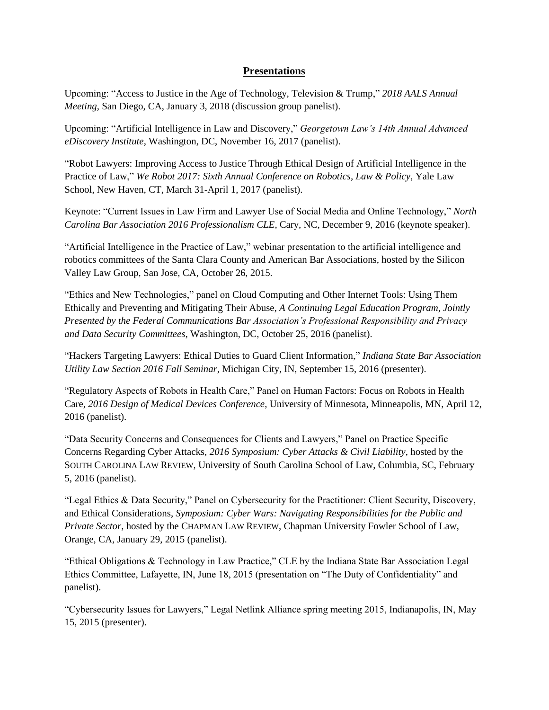## **Presentations**

Upcoming: "Access to Justice in the Age of Technology, Television & Trump," *2018 AALS Annual Meeting*, San Diego, CA, January 3, 2018 (discussion group panelist).

Upcoming: "Artificial Intelligence in Law and Discovery," *Georgetown Law's 14th Annual Advanced eDiscovery Institute*, Washington, DC, November 16, 2017 (panelist).

"Robot Lawyers: Improving Access to Justice Through Ethical Design of Artificial Intelligence in the Practice of Law," *We Robot 2017: Sixth Annual Conference on Robotics, Law & Policy*, Yale Law School, New Haven, CT, March 31-April 1, 2017 (panelist).

Keynote: "Current Issues in Law Firm and Lawyer Use of Social Media and Online Technology," *North Carolina Bar Association 2016 Professionalism CLE*, Cary, NC, December 9, 2016 (keynote speaker).

"Artificial Intelligence in the Practice of Law," webinar presentation to the artificial intelligence and robotics committees of the Santa Clara County and American Bar Associations, hosted by the Silicon Valley Law Group, San Jose, CA, October 26, 2015.

"Ethics and New Technologies," panel on Cloud Computing and Other Internet Tools: Using Them Ethically and Preventing and Mitigating Their Abuse, *A Continuing Legal Education Program, Jointly Presented by the Federal Communications Bar Association's Professional Responsibility and Privacy and Data Security Committees*, Washington, DC, October 25, 2016 (panelist).

"Hackers Targeting Lawyers: Ethical Duties to Guard Client Information," *Indiana State Bar Association Utility Law Section 2016 Fall Seminar*, Michigan City, IN, September 15, 2016 (presenter).

"Regulatory Aspects of Robots in Health Care," Panel on Human Factors: Focus on Robots in Health Care, *2016 Design of Medical Devices Conference*, University of Minnesota, Minneapolis, MN, April 12, 2016 (panelist).

"Data Security Concerns and Consequences for Clients and Lawyers," Panel on Practice Specific Concerns Regarding Cyber Attacks, *2016 Symposium: Cyber Attacks & Civil Liability*, hosted by the SOUTH CAROLINA LAW REVIEW, University of South Carolina School of Law, Columbia, SC, February 5, 2016 (panelist).

"Legal Ethics & Data Security," Panel on Cybersecurity for the Practitioner: Client Security, Discovery, and Ethical Considerations, *Symposium: Cyber Wars: Navigating Responsibilities for the Public and Private Sector*, hosted by the CHAPMAN LAW REVIEW, Chapman University Fowler School of Law, Orange, CA, January 29, 2015 (panelist).

"Ethical Obligations & Technology in Law Practice," CLE by the Indiana State Bar Association Legal Ethics Committee, Lafayette, IN, June 18, 2015 (presentation on "The Duty of Confidentiality" and panelist).

"Cybersecurity Issues for Lawyers," Legal Netlink Alliance spring meeting 2015, Indianapolis, IN, May 15, 2015 (presenter).